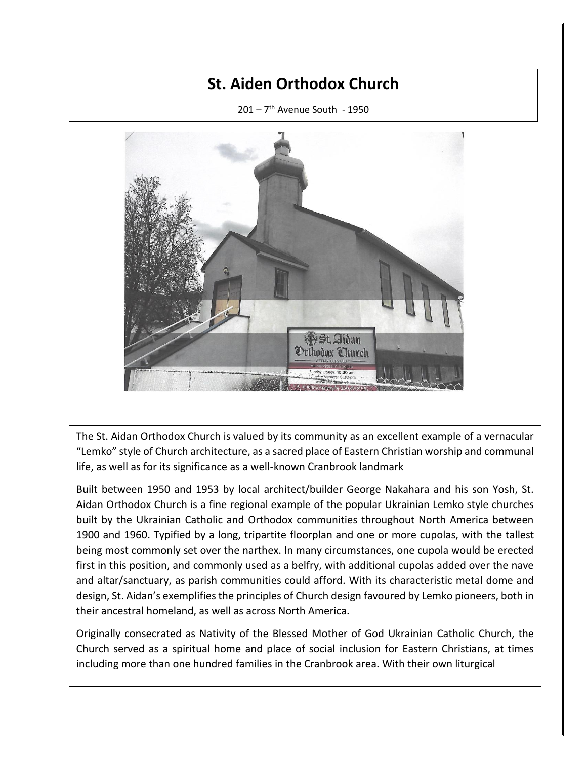## **St. Aiden Orthodox Church**

201 – 7 th Avenue South - 1950



The St. Aidan Orthodox Church is valued by its community as an excellent example of a vernacular "Lemko" style of Church architecture, as a sacred place of Eastern Christian worship and communal life, as well as for its significance as a well-known Cranbrook landmark

Built between 1950 and 1953 by local architect/builder George Nakahara and his son Yosh, St. Aidan Orthodox Church is a fine regional example of the popular Ukrainian Lemko style churches built by the Ukrainian Catholic and Orthodox communities throughout North America between 1900 and 1960. Typified by a long, tripartite floorplan and one or more cupolas, with the tallest being most commonly set over the narthex. In many circumstances, one cupola would be erected first in this position, and commonly used as a belfry, with additional cupolas added over the nave and altar/sanctuary, as parish communities could afford. With its characteristic metal dome and design, St. Aidan's exemplifies the principles of Church design favoured by Lemko pioneers, both in their ancestral homeland, as well as across North America.

Originally consecrated as Nativity of the Blessed Mother of God Ukrainian Catholic Church, the Church served as a spiritual home and place of social inclusion for Eastern Christians, at times including more than one hundred families in the Cranbrook area. With their own liturgical